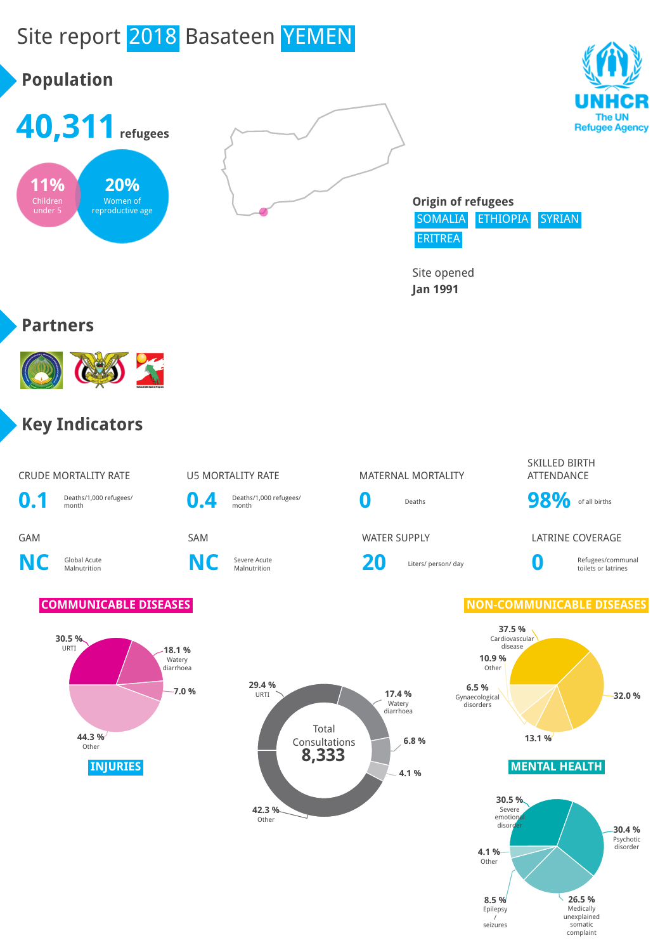# Site report 2018 Basateen YEMEN







**26.5 %** Medically unexplained somatic complaint

**8.5 %** Epilepsy / seizures

**Origin of refugees** SOMALIA ETHIOPIA SYRIAN ERITREA

Site opened **Jan 1991**

#### **Partners**



#### **Key Indicators**

#### CRUDE MORTALITY RATE **US MORTALITY RATE** MATERNAL MORTALITY SKILLED BIRTH ATTENDANCE **0.1** Deaths/1,000 refugees/ **0.4** Deaths/1,000 refugees/ **0** Deaths **98%** of all births GAM SAM SAM SAM WATER SUPPLY LATRINE COVERAGE **NC** Global Acute **C** Severe Acute<br>Malnutrition **NC** Severe Acute Severe Acute **20** Liters/ person/ day **0 0** Liters/ person/ day Refugees/communal toilets or latrines **COMMUNICABLE DISEASES NON-COMMUNICABLE DISEASES INJURIES MENTAL HEALTH 30.5 %** URTI **18.1 %** Watery diarrhoea **7.0 % 44.3 %** Other **37.5 %** Cardiovascular disease **32.0 % 13.1 % 6.5 %** Gynaecological disorders **10.9 %** Other **30.5 %** Severe emotion<br>disorde disorder **30.4 %** Psychotic disorder **4.1 %** Other Total Consultations **29.4 %** URTI **17.4 %** Watery diarrhoea **6.8 % 4.1 % 42.3 %** Other **8,333**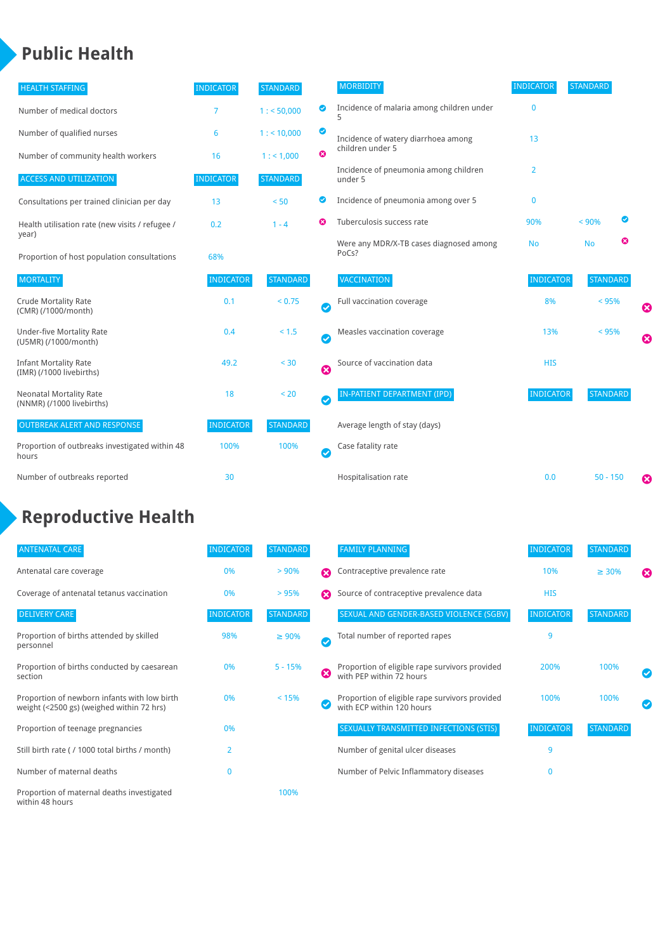#### **Public Health**

| <b>HEALTH STAFFING</b>                                      | <b>INDICATOR</b> | <b>STANDARD</b> |           | <b>MORBIDITY</b>                                 | <b>INDICATOR</b> | <b>STANDARD</b> |                       |
|-------------------------------------------------------------|------------------|-----------------|-----------|--------------------------------------------------|------------------|-----------------|-----------------------|
| Number of medical doctors                                   | 7                | 1: 50,000       | ◎         | Incidence of malaria among children under        | $\mathbf 0$      |                 |                       |
| Number of qualified nurses                                  | 6                | 1:10,000        | ◙         | Incidence of watery diarrhoea among              | 13               |                 |                       |
| Number of community health workers                          | 16               | 1: 1,000        | ⊗         | children under 5                                 |                  |                 |                       |
| <b>ACCESS AND UTILIZATION</b>                               | <b>INDICATOR</b> | <b>STANDARD</b> |           | Incidence of pneumonia among children<br>under 5 | 2                |                 |                       |
| Consultations per trained clinician per day                 | 13               | < 50            | ◎         | Incidence of pneumonia among over 5              | 0                |                 |                       |
| Health utilisation rate (new visits / refugee /             | 0.2              | $1 - 4$         | ఴ         | Tuberculosis success rate                        | 90%              | Ø<br>< 90%      |                       |
| year)<br>Proportion of host population consultations        | 68%              |                 |           | Were any MDR/X-TB cases diagnosed among<br>PoCs? | <b>No</b>        | ఴ<br><b>No</b>  |                       |
| <b>MORTALITY</b>                                            | <b>INDICATOR</b> | <b>STANDARD</b> |           | <b>VACCINATION</b>                               | <b>INDICATOR</b> | <b>STANDARD</b> |                       |
| <b>Crude Mortality Rate</b><br>(CMR) (/1000/month)          | 0.1              | < 0.75          | $\bullet$ | Full vaccination coverage                        | 8%               | < 95%           | ☺                     |
| <b>Under-five Mortality Rate</b><br>(U5MR) (/1000/month)    | 0.4              | < 1.5           | Ø         | Measles vaccination coverage                     | 13%              | $< 95\%$        | $\boldsymbol{\Omega}$ |
| <b>Infant Mortality Rate</b><br>(IMR) (/1000 livebirths)    | 49.2             | < 30            | 0         | Source of vaccination data                       | <b>HIS</b>       |                 |                       |
| <b>Neonatal Mortality Rate</b><br>(NNMR) (/1000 livebirths) | 18               | < 20            | $\bullet$ | IN-PATIENT DEPARTMENT (IPD)                      | <b>INDICATOR</b> | <b>STANDARD</b> |                       |
| <b>OUTBREAK ALERT AND RESPONSE</b>                          | <b>INDICATOR</b> | <b>STANDARD</b> |           | Average length of stay (days)                    |                  |                 |                       |
| Proportion of outbreaks investigated within 48<br>hours     | 100%             | 100%            | Ø         | Case fatality rate                               |                  |                 |                       |
| Number of outbreaks reported                                | 30               |                 |           | Hospitalisation rate                             | 0.0              | $50 - 150$      | €                     |

## **Reproductive Health**

| <b>ANTENATAL CARE</b>                                                                     | <b>INDICATOR</b> | <b>STANDARD</b> |                       | <b>FAMILY PLANNING</b>                                                      | <b>INDICATOR</b> | <b>STANDARD</b> |   |
|-------------------------------------------------------------------------------------------|------------------|-----------------|-----------------------|-----------------------------------------------------------------------------|------------------|-----------------|---|
| Antenatal care coverage                                                                   | 0%               | > 90%           | $\boldsymbol{\Omega}$ | Contraceptive prevalence rate                                               | 10%              | $\geq 30\%$     | ☎ |
| Coverage of antenatal tetanus vaccination                                                 | 0%               | >95%            | $\boldsymbol{\Omega}$ | Source of contraceptive prevalence data                                     | <b>HIS</b>       |                 |   |
| <b>DELIVERY CARE</b>                                                                      | <b>INDICATOR</b> | <b>STANDARD</b> |                       | SEXUAL AND GENDER-BASED VIOLENCE (SGBV)                                     | <b>INDICATOR</b> | <b>STANDARD</b> |   |
| Proportion of births attended by skilled<br>personnel                                     | 98%              | $\geq 90\%$     | $\omega$              | Total number of reported rapes                                              | 9                |                 |   |
| Proportion of births conducted by caesarean<br>section                                    | 0%               | $5 - 15%$       | ☎                     | Proportion of eligible rape survivors provided<br>with PEP within 72 hours  | 200%             | 100%            |   |
| Proportion of newborn infants with low birth<br>weight (<2500 gs) (weighed within 72 hrs) | 0%               | < 15%           |                       | Proportion of eligible rape survivors provided<br>with ECP within 120 hours | 100%             | 100%            |   |
| Proportion of teenage pregnancies                                                         | 0%               |                 |                       | SEXUALLY TRANSMITTED INFECTIONS (STIS)                                      | <b>INDICATOR</b> | <b>STANDARD</b> |   |
| Still birth rate (/1000 total births / month)                                             | 2                |                 |                       | Number of genital ulcer diseases                                            | 9                |                 |   |
| Number of maternal deaths                                                                 | 0                |                 |                       | Number of Pelvic Inflammatory diseases                                      | $\mathbf{0}$     |                 |   |
| Proportion of maternal deaths investigated<br>within 48 hours                             |                  | 100%            |                       |                                                                             |                  |                 |   |